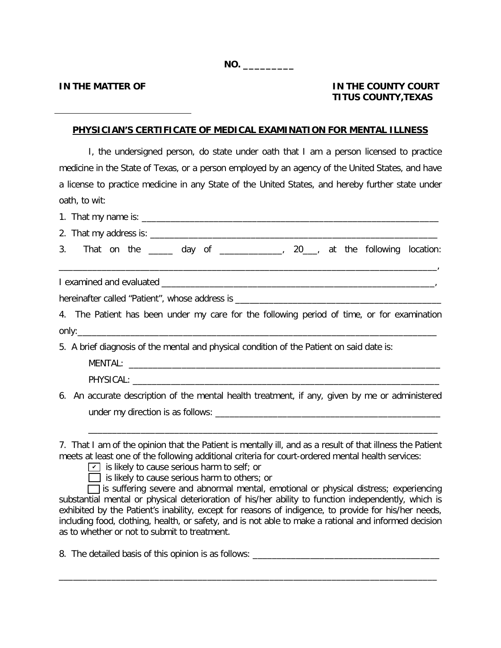**NO. \_\_\_\_\_\_\_\_\_**

## **IN THE MATTER OF IN THE COUNTY COURT TITUS COUNTY,TEXAS**

## **PHYSICIAN'S CERTIFICATE OF MEDICAL EXAMINATION FOR MENTAL ILLNESS**

I, the undersigned person, do state under oath that I am a person licensed to practice medicine in the State of Texas, or a person employed by an agency of the United States, and have a license to practice medicine in any State of the United States, and hereby further state under oath, to wit:

| 3. That on the ______ day of _____________, 20___, at the following location:                                                                                                                                  |
|----------------------------------------------------------------------------------------------------------------------------------------------------------------------------------------------------------------|
|                                                                                                                                                                                                                |
|                                                                                                                                                                                                                |
| 4. The Patient has been under my care for the following period of time, or for examination                                                                                                                     |
|                                                                                                                                                                                                                |
| 5. A brief diagnosis of the mental and physical condition of the Patient on said date is:                                                                                                                      |
|                                                                                                                                                                                                                |
|                                                                                                                                                                                                                |
| 6. An accurate description of the mental health treatment, if any, given by me or administered                                                                                                                 |
|                                                                                                                                                                                                                |
|                                                                                                                                                                                                                |
| 7. That I am of the opinion that the Patient is mentally ill, and as a result of that illness the Patient<br>meets at least one of the following additional criteria for court-ordered mental health services: |

- $\boxed{\mathbf{v}}$  is likely to cause serious harm to self; or
- $\Box$  is likely to cause serious harm to others; or

**[**] is suffering severe and abnormal mental, emotional or physical distress; experiencing substantial mental or physical deterioration of his/her ability to function independently, which is exhibited by the Patient's inability, except for reasons of indigence, to provide for his/her needs, including food, clothing, health, or safety, and is not able to make a rational and informed decision as to whether or not to submit to treatment.

\_\_\_\_\_\_\_\_\_\_\_\_\_\_\_\_\_\_\_\_\_\_\_\_\_\_\_\_\_\_\_\_\_\_\_\_\_\_\_\_\_\_\_\_\_\_\_\_\_\_\_\_\_\_\_\_\_\_\_\_\_\_\_\_\_\_\_\_\_\_\_\_\_\_\_\_\_\_\_

8. The detailed basis of this opinion is as follows: